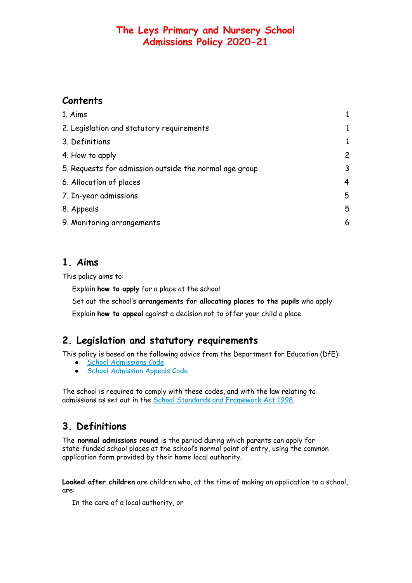# **Contents**

| 1. Aims                                                |              |
|--------------------------------------------------------|--------------|
| 2. Legislation and statutory requirements              | $\mathbf{1}$ |
| 3. Definitions                                         | $\mathbf{1}$ |
| 4. How to apply                                        | $\mathbf{2}$ |
| 5. Requests for admission outside the normal age group | 3            |
| 6. Allocation of places                                | 4            |
| 7. In-year admissions                                  | 5            |
| 8. Appeals                                             | 5            |
| 9. Monitoring arrangements                             | 6            |

## <span id="page-0-0"></span>**1. Aims**

This policy aims to:

Explain **how to apply** for a place at the school

Set out the school's **arrangements for allocating places to the pupils** who apply

<span id="page-0-1"></span>Explain **how to appeal** against a decision not to offer your child a place

# **2. Legislation and statutory requirements**

This policy is based on the following advice from the Department for Education (DfE):

- School [Admissions](https://www.gov.uk/government/publications/school-admissions-code--2) Code
- **School [Admission](https://www.gov.uk/government/publications/school-admissions-appeals-code) Appeals Code**

<span id="page-0-2"></span>The school is required to comply with these codes, and with the law relating to admissions as set out in the School Standards and [Framework](http://www.legislation.gov.uk/ukpga/1998/31/contents) Act 1998.

# **3. Definitions**

The **normal admissions round** is the period during which parents can apply for state-funded school places at the school's normal point of entry, using the common application form provided by their home local authority.

**Looked after children** are children who, at the time of making an application to a school, are:

In the care of a local authority, or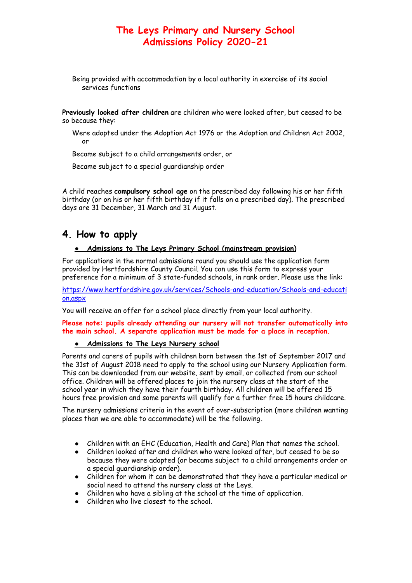Being provided with accommodation by a local authority in exercise of its social services functions

**Previously looked after children** are children who were looked after, but ceased to be so because they:

Were adopted under the Adoption Act 1976 or the Adoption and Children Act 2002, or

Became subject to a child arrangements order, or

Became subject to a special guardianship order

<span id="page-1-0"></span>A child reaches **compulsory school age** on the prescribed day following his or her fifth birthday (or on his or her fifth birthday if it falls on a prescribed day). The prescribed days are 31 December, 31 March and 31 August.

#### **4. How to apply**

#### ● **Admissions to The Leys Primary School (mainstream provision)**

For applications in the normal admissions round you should use the application form provided by Hertfordshire County Council. You can use this form to express your preference for a minimum of 3 state-funded schools, in rank order. Please use the link:

[https://www.hertfordshire.gov.uk/services/Schools-and-education/Schools-and-educati](https://www.hertfordshire.gov.uk/services/Schools-and-education/Schools-and-education.aspx) [on.aspx](https://www.hertfordshire.gov.uk/services/Schools-and-education/Schools-and-education.aspx)

You will receive an offer for a school place directly from your local authority.

**Please note: pupils already attending our nursery will not transfer automatically into the main school. A separate application must be made for a place in reception.**

#### ● **Admissions to The Leys Nursery school**

Parents and carers of pupils with children born between the 1st of September 2017 and the 31st of August 2018 need to apply to the school using our Nursery Application form. This can be downloaded from our website, sent by email, or collected from our school office. Children will be offered places to join the nursery class at the start of the school year in which they have their fourth birthday. All children will be offered 15 hours free provision and some parents will qualify for a further free 15 hours childcare.

The nursery admissions criteria in the event of over-subscription (more children wanting places than we are able to accommodate) will be the following**.**

- Children with an EHC (Education, Health and Care) Plan that names the school.
- Children looked after and children who were looked after, but ceased to be so because they were adopted (or became subject to a child arrangements order or a special guardianship order).
- Children for whom it can be demonstrated that they have a particular medical or social need to attend the nursery class at the Leys.
- Children who have a sibling at the school at the time of application.
- Children who live closest to the school.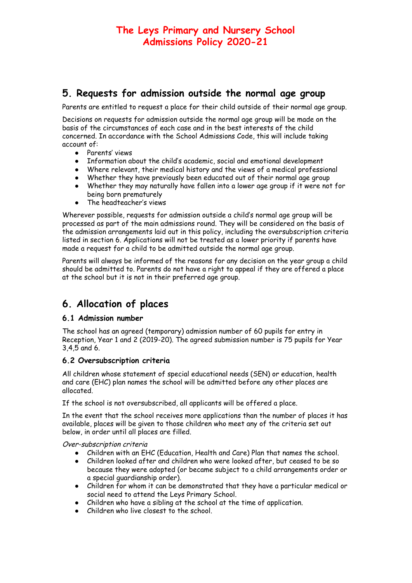### **5. Requests for admission outside the normal age group**

Parents are entitled to request a place for their child outside of their normal age group.

Decisions on requests for admission outside the normal age group will be made on the basis of the circumstances of each case and in the best interests of the child concerned. In accordance with the School Admissions Code, this will include taking account of:

- Parents' views
- Information about the child's academic, social and emotional development
- Where relevant, their medical history and the views of a medical professional
- Whether they have previously been educated out of their normal age group
- Whether they may naturally have fallen into a lower age group if it were not for being born prematurely
- The headteacher's views

Wherever possible, requests for admission outside a child's normal age group will be processed as part of the main admissions round. They will be considered on the basis of the admission arrangements laid out in this policy, including the oversubscription criteria listed in section 6. Applications will not be treated as a lower priority if parents have made a request for a child to be admitted outside the normal age group.

<span id="page-2-0"></span>Parents will always be informed of the reasons for any decision on the year group a child should be admitted to. Parents do not have a right to appeal if they are offered a place at the school but it is not in their preferred age group.

# **6. Allocation of places**

#### **6.1 Admission number**

The school has an agreed (temporary) admission number of 60 pupils for entry in Reception, Year 1 and 2 (2019-20). The agreed submission number is 75 pupils for Year 3,4,5 and 6.

#### **6.2 Oversubscription criteria**

All children whose statement of special educational needs (SEN) or education, health and care (EHC) plan names the school will be admitted before any other places are allocated.

If the school is not oversubscribed, all applicants will be offered a place.

In the event that the school receives more applications than the number of places it has available, places will be given to those children who meet any of the criteria set out below, in order until all places are filled.

Over-subscription criteria

- Children with an EHC (Education, Health and Care) Plan that names the school.
- Children looked after and children who were looked after, but ceased to be so because they were adopted (or became subject to a child arrangements order or a special guardianship order).
- Children for whom it can be demonstrated that they have a particular medical or social need to attend the Leys Primary School.
- Children who have a sibling at the school at the time of application.
- Children who live closest to the school.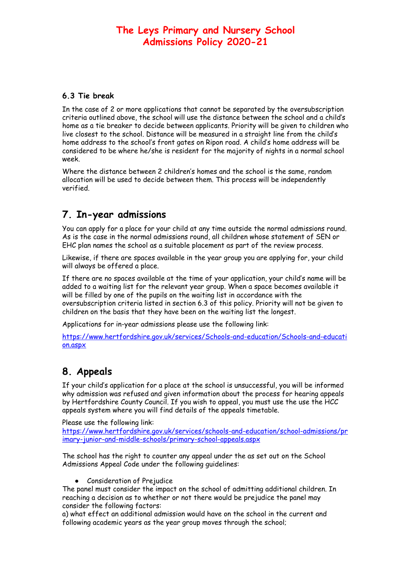#### **6.3 Tie break**

In the case of 2 or more applications that cannot be separated by the oversubscription criteria outlined above, the school will use the distance between the school and a child's home as a tie breaker to decide between applicants. Priority will be given to children who live closest to the school. Distance will be measured in a straight line from the child's home address to the school's front gates on Ripon road. A child's home address will be considered to be where he/she is resident for the majority of nights in a normal school week.

<span id="page-3-0"></span>Where the distance between 2 children's homes and the school is the same, random allocation will be used to decide between them. This process will be independently verified.

## **7. In-year admissions**

You can apply for a place for your child at any time outside the normal admissions round. As is the case in the normal admissions round, all children whose statement of SEN or EHC plan names the school as a suitable placement as part of the review process.

Likewise, if there are spaces available in the year group you are applying for, your child will always be offered a place.

If there are no spaces available at the time of your application, your child's name will be added to a waiting list for the relevant year group. When a space becomes available it will be filled by one of the pupils on the waiting list in accordance with the oversubscription criteria listed in section 6.3 of this policy. Priority will not be given to children on the basis that they have been on the waiting list the longest.

Applications for in-year admissions please use the following link:

<span id="page-3-1"></span>[https://www.hertfordshire.gov.uk/services/Schools-and-education/Schools-and-educati](https://www.hertfordshire.gov.uk/services/Schools-and-education/Schools-and-education.aspx) [on.aspx](https://www.hertfordshire.gov.uk/services/Schools-and-education/Schools-and-education.aspx)

# **8. Appeals**

If your child's application for a place at the school is unsuccessful, you will be informed why admission was refused and given information about the process for hearing appeals by Hertfordshire County Council. If you wish to appeal, you must use the use the HCC appeals system where you will find details of the appeals timetable.

Please use the following link:

[https://www.hertfordshire.gov.uk/services/schools-and-education/school-admissions/pr](https://www.hertfordshire.gov.uk/services/schools-and-education/school-admissions/primary-junior-and-middle-schools/primary-school-appeals.aspx) [imary-junior-and-middle-schools/primary-school-appeals.aspx](https://www.hertfordshire.gov.uk/services/schools-and-education/school-admissions/primary-junior-and-middle-schools/primary-school-appeals.aspx)

The school has the right to counter any appeal under the as set out on the School Admissions Appeal Code under the following guidelines:

● Consideration of Prejudice

The panel must consider the impact on the school of admitting additional children. In reaching a decision as to whether or not there would be prejudice the panel may consider the following factors:

a) what effect an additional admission would have on the school in the current and following academic years as the year group moves through the school;